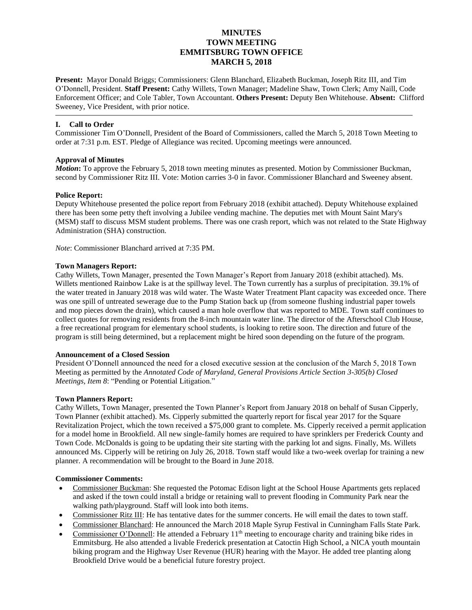# **MINUTES TOWN MEETING EMMITSBURG TOWN OFFICE MARCH 5, 2018**

**Present:** Mayor Donald Briggs; Commissioners: Glenn Blanchard, Elizabeth Buckman, Joseph Ritz III, and Tim O'Donnell, President. **Staff Present:** Cathy Willets, Town Manager; Madeline Shaw, Town Clerk; Amy Naill, Code Enforcement Officer; and Cole Tabler, Town Accountant. **Others Present:** Deputy Ben Whitehouse. **Absent:** Clifford Sweeney, Vice President, with prior notice.

# **I. Call to Order**

Commissioner Tim O'Donnell, President of the Board of Commissioners, called the March 5, 2018 Town Meeting to order at 7:31 p.m. EST. Pledge of Allegiance was recited. Upcoming meetings were announced.

# **Approval of Minutes**

*Motion***:** To approve the February 5, 2018 town meeting minutes as presented. Motion by Commissioner Buckman, second by Commissioner Ritz III. Vote: Motion carries 3-0 in favor. Commissioner Blanchard and Sweeney absent.

# **Police Report:**

Deputy Whitehouse presented the police report from February 2018 (exhibit attached). Deputy Whitehouse explained there has been some petty theft involving a Jubilee vending machine. The deputies met with Mount Saint Mary's (MSM) staff to discuss MSM student problems. There was one crash report, which was not related to the State Highway Administration (SHA) construction.

*Note*: Commissioner Blanchard arrived at 7:35 PM.

#### **Town Managers Report:**

Cathy Willets, Town Manager, presented the Town Manager's Report from January 2018 (exhibit attached). Ms. Willets mentioned Rainbow Lake is at the spillway level. The Town currently has a surplus of precipitation. 39.1% of the water treated in January 2018 was wild water. The Waste Water Treatment Plant capacity was exceeded once. There was one spill of untreated sewerage due to the Pump Station back up (from someone flushing industrial paper towels and mop pieces down the drain), which caused a man hole overflow that was reported to MDE. Town staff continues to collect quotes for removing residents from the 8-inch mountain water line. The director of the Afterschool Club House, a free recreational program for elementary school students, is looking to retire soon. The direction and future of the program is still being determined, but a replacement might be hired soon depending on the future of the program.

#### **Announcement of a Closed Session**

President O'Donnell announced the need for a closed executive session at the conclusion of the March 5, 2018 Town Meeting as permitted by the *Annotated Code of Maryland, General Provisions Article Section 3-305(b) Closed Meetings, Item 8*: "Pending or Potential Litigation."

### **Town Planners Report:**

Cathy Willets, Town Manager, presented the Town Planner's Report from January 2018 on behalf of Susan Cipperly, Town Planner (exhibit attached). Ms. Cipperly submitted the quarterly report for fiscal year 2017 for the Square Revitalization Project, which the town received a \$75,000 grant to complete. Ms. Cipperly received a permit application for a model home in Brookfield. All new single-family homes are required to have sprinklers per Frederick County and Town Code. McDonalds is going to be updating their site starting with the parking lot and signs. Finally, Ms. Willets announced Ms. Cipperly will be retiring on July 26, 2018. Town staff would like a two-week overlap for training a new planner. A recommendation will be brought to the Board in June 2018.

# **Commissioner Comments:**

- Commissioner Buckman: She requested the Potomac Edison light at the School House Apartments gets replaced and asked if the town could install a bridge or retaining wall to prevent flooding in Community Park near the walking path/playground. Staff will look into both items.
- Commissioner Ritz III: He has tentative dates for the summer concerts. He will email the dates to town staff.
- Commissioner Blanchard: He announced the March 2018 Maple Syrup Festival in Cunningham Falls State Park.
- Commissioner O'Donnell: He attended a February 11<sup>th</sup> meeting to encourage charity and training bike rides in Emmitsburg. He also attended a livable Frederick presentation at Catoctin High School, a NICA youth mountain biking program and the Highway User Revenue (HUR) hearing with the Mayor. He added tree planting along Brookfield Drive would be a beneficial future forestry project.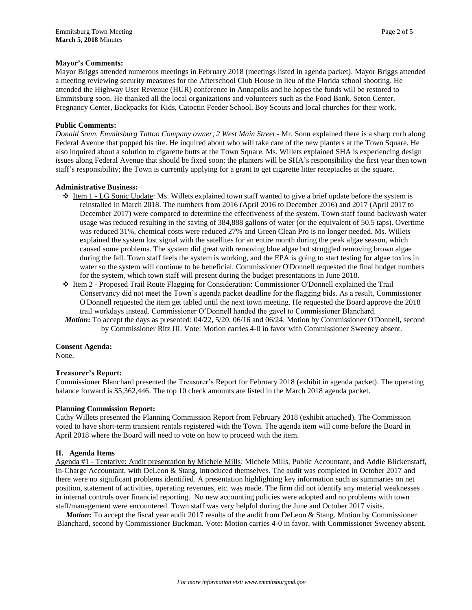# **Mayor's Comments:**

Mayor Briggs attended numerous meetings in February 2018 (meetings listed in agenda packet). Mayor Briggs attended a meeting reviewing security measures for the Afterschool Club House in lieu of the Florida school shooting. He attended the Highway User Revenue (HUR) conference in Annapolis and he hopes the funds will be restored to Emmitsburg soon. He thanked all the local organizations and volunteers such as the Food Bank, Seton Center, Pregnancy Center, Backpacks for Kids, Catoctin Feeder School, Boy Scouts and local churches for their work.

## **Public Comments:**

*Donald Sonn, Emmitsburg Tattoo Company owner, 2 West Main Street -* Mr. Sonn explained there is a sharp curb along Federal Avenue that popped his tire. He inquired about who will take care of the new planters at the Town Square. He also inquired about a solution to cigarette butts at the Town Square. Ms. Willets explained SHA is experiencing design issues along Federal Avenue that should be fixed soon; the planters will be SHA's responsibility the first year then town staff's responsibility; the Town is currently applying for a grant to get cigarette litter receptacles at the square.

#### **Administrative Business:**

- $\triangle$  Item 1 LG Sonic Update: Ms. Willets explained town staff wanted to give a brief update before the system is reinstalled in March 2018. The numbers from 2016 (April 2016 to December 2016) and 2017 (April 2017 to December 2017) were compared to determine the effectiveness of the system. Town staff found backwash water usage was reduced resulting in the saving of 384,888 gallons of water (or the equivalent of 50.5 taps). Overtime was reduced 31%, chemical costs were reduced 27% and Green Clean Pro is no longer needed. Ms. Willets explained the system lost signal with the satellites for an entire month during the peak algae season, which caused some problems. The system did great with removing blue algae but struggled removing brown algae during the fall. Town staff feels the system is working, and the EPA is going to start testing for algae toxins in water so the system will continue to be beneficial. Commissioner O'Donnell requested the final budget numbers for the system, which town staff will present during the budget presentations in June 2018.
- Item 2 Proposed Trail Route Flagging for Consideration: Commissioner O'Donnell explained the Trail Conservancy did not meet the Town's agenda packet deadline for the flagging bids. As a result, Commissioner O'Donnell requested the item get tabled until the next town meeting. He requested the Board approve the 2018 trail workdays instead. Commissioner O'Donnell handed the gavel to Commissioner Blanchard.
- *Motion***:** To accept the days as presented: 04/22, 5/20, 06/16 and 06/24. Motion by Commissioner O'Donnell, second by Commissioner Ritz III. Vote: Motion carries 4-0 in favor with Commissioner Sweeney absent.

#### **Consent Agenda:**

None.

# **Treasurer's Report:**

Commissioner Blanchard presented the Treasurer's Report for February 2018 (exhibit in agenda packet). The operating balance forward is \$5,362,446. The top 10 check amounts are listed in the March 2018 agenda packet.

#### **Planning Commission Report:**

Cathy Willets presented the Planning Commission Report from February 2018 (exhibit attached). The Commission voted to have short-term transient rentals registered with the Town. The agenda item will come before the Board in April 2018 where the Board will need to vote on how to proceed with the item.

#### **II. Agenda Items**

Agenda #1 - Tentative: Audit presentation by Michele Mills: Michele Mills, Public Accountant, and Addie Blickenstaff, In-Charge Accountant, with DeLeon & Stang, introduced themselves. The audit was completed in October 2017 and there were no significant problems identified. A presentation highlighting key information such as summaries on net position, statement of activities, operating revenues, etc. was made. The firm did not identify any material weaknesses in internal controls over financial reporting. No new accounting policies were adopted and no problems with town staff/management were encountered. Town staff was very helpful during the June and October 2017 visits.

*Motion*: To accept the fiscal year audit 2017 results of the audit from DeLeon & Stang. Motion by Commissioner Blanchard, second by Commissioner Buckman. Vote: Motion carries 4-0 in favor, with Commissioner Sweeney absent.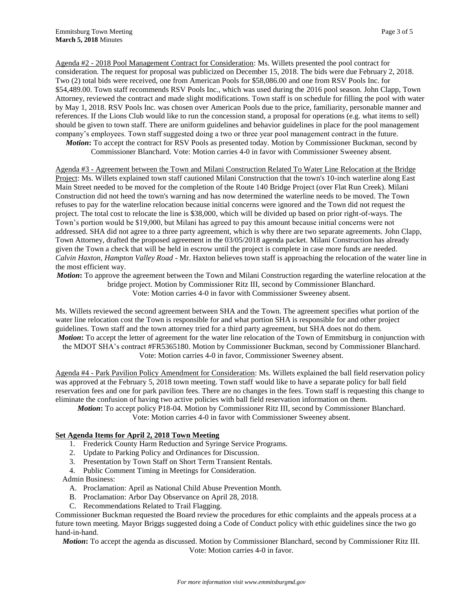Agenda #2 - 2018 Pool Management Contract for Consideration: Ms. Willets presented the pool contract for consideration. The request for proposal was publicized on December 15, 2018. The bids were due February 2, 2018. Two (2) total bids were received, one from American Pools for \$58,086.00 and one from RSV Pools Inc. for \$54,489.00. Town staff recommends RSV Pools Inc., which was used during the 2016 pool season. John Clapp, Town Attorney, reviewed the contract and made slight modifications. Town staff is on schedule for filling the pool with water by May 1, 2018. RSV Pools Inc. was chosen over American Pools due to the price, familiarity, personable manner and references. If the Lions Club would like to run the concession stand, a proposal for operations (e.g. what items to sell) should be given to town staff. There are uniform guidelines and behavior guidelines in place for the pool management company's employees. Town staff suggested doing a two or three year pool management contract in the future.

*Motion***:** To accept the contract for RSV Pools as presented today. Motion by Commissioner Buckman, second by Commissioner Blanchard. Vote: Motion carries 4-0 in favor with Commissioner Sweeney absent.

Agenda #3 - Agreement between the Town and Milani Construction Related To Water Line Relocation at the Bridge Project: Ms. Willets explained town staff cautioned Milani Construction that the town's 10-inch waterline along East Main Street needed to be moved for the completion of the Route 140 Bridge Project (over Flat Run Creek). Milani Construction did not heed the town's warning and has now determined the waterline needs to be moved. The Town refuses to pay for the waterline relocation because initial concerns were ignored and the Town did not request the project. The total cost to relocate the line is \$38,000, which will be divided up based on prior right-of-ways. The Town's portion would be \$19,000, but Milani has agreed to pay this amount because initial concerns were not addressed. SHA did not agree to a three party agreement, which is why there are two separate agreements. John Clapp, Town Attorney, drafted the proposed agreement in the 03/05/2018 agenda packet. Milani Construction has already given the Town a check that will be held in escrow until the project is complete in case more funds are needed. *Calvin Haxton, Hampton Valley Road* - Mr. Haxton believes town staff is approaching the relocation of the water line in the most efficient way.

*Motion***:** To approve the agreement between the Town and Milani Construction regarding the waterline relocation at the bridge project. Motion by Commissioner Ritz III, second by Commissioner Blanchard. Vote: Motion carries 4-0 in favor with Commissioner Sweeney absent.

Ms. Willets reviewed the second agreement between SHA and the Town. The agreement specifies what portion of the water line relocation cost the Town is responsible for and what portion SHA is responsible for and other project guidelines. Town staff and the town attorney tried for a third party agreement, but SHA does not do them. *Motion***:** To accept the letter of agreement for the water line relocation of the Town of Emmitsburg in conjunction with the MDOT SHA's contract #FR5365180. Motion by Commissioner Buckman, second by Commissioner Blanchard. Vote: Motion carries 4-0 in favor, Commissioner Sweeney absent.

Agenda #4 - Park Pavilion Policy Amendment for Consideration: Ms. Willets explained the ball field reservation policy was approved at the February 5, 2018 town meeting. Town staff would like to have a separate policy for ball field reservation fees and one for park pavilion fees. There are no changes in the fees. Town staff is requesting this change to eliminate the confusion of having two active policies with ball field reservation information on them.

*Motion***:** To accept policy P18-04. Motion by Commissioner Ritz III, second by Commissioner Blanchard.

Vote: Motion carries 4-0 in favor with Commissioner Sweeney absent.

# **Set Agenda Items for April 2, 2018 Town Meeting**

- 1. Frederick County Harm Reduction and Syringe Service Programs.
- 2. Update to Parking Policy and Ordinances for Discussion.
- 3. Presentation by Town Staff on Short Term Transient Rentals.
- 4. Public Comment Timing in Meetings for Consideration.
- Admin Business:
	- A. Proclamation: April as National Child Abuse Prevention Month.
	- B. Proclamation: Arbor Day Observance on April 28, 2018.
	- C. Recommendations Related to Trail Flagging.

Commissioner Buckman requested the Board review the procedures for ethic complaints and the appeals process at a future town meeting. Mayor Briggs suggested doing a Code of Conduct policy with ethic guidelines since the two go hand-in-hand.

*Motion***:** To accept the agenda as discussed. Motion by Commissioner Blanchard, second by Commissioner Ritz III. Vote: Motion carries 4-0 in favor.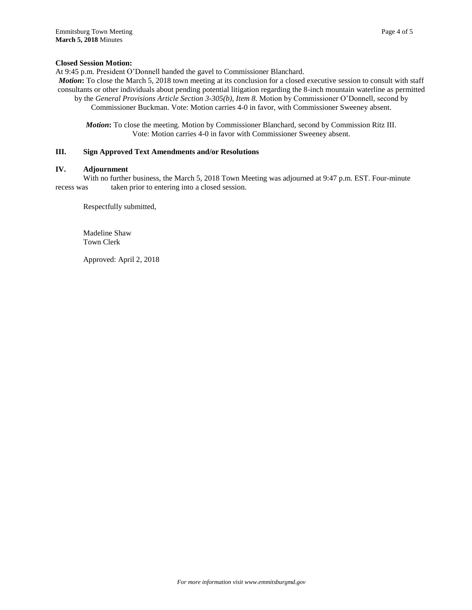## **Closed Session Motion:**

At 9:45 p.m. President O'Donnell handed the gavel to Commissioner Blanchard.

*Motion*: To close the March 5, 2018 town meeting at its conclusion for a closed executive session to consult with staff consultants or other individuals about pending potential litigation regarding the 8-inch mountain waterline as permitted by the *General Provisions Article Section 3-305(b), Item 8.* Motion by Commissioner O'Donnell, second by

Commissioner Buckman. Vote: Motion carries 4-0 in favor, with Commissioner Sweeney absent.

*Motion***:** To close the meeting. Motion by Commissioner Blanchard, second by Commission Ritz III. Vote: Motion carries 4-0 in favor with Commissioner Sweeney absent.

#### **III. Sign Approved Text Amendments and/or Resolutions**

#### **IV. Adjournment**

With no further business, the March 5, 2018 Town Meeting was adjourned at 9:47 p.m. EST. Four-minute recess was taken prior to entering into a closed session.

Respectfully submitted,

Madeline Shaw Town Clerk

Approved: April 2, 2018